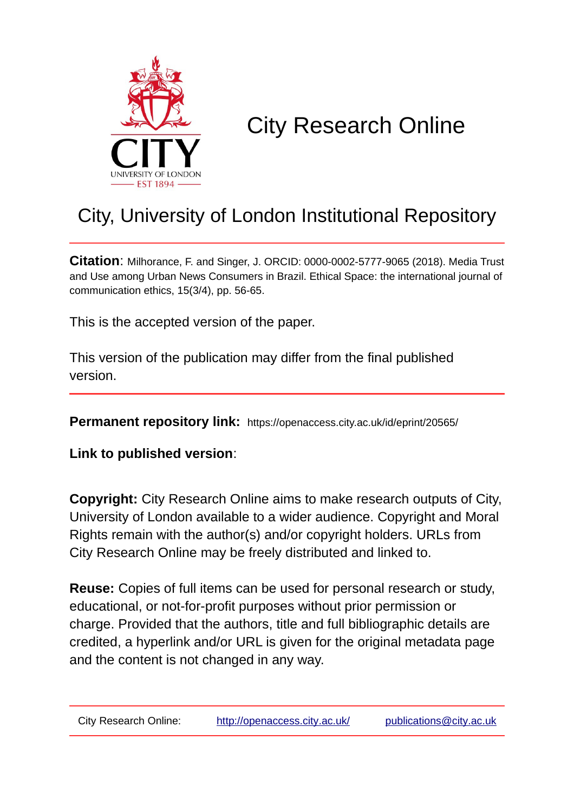

# City Research Online

# City, University of London Institutional Repository

**Citation**: Milhorance, F. and Singer, J. ORCID: 0000-0002-5777-9065 (2018). Media Trust and Use among Urban News Consumers in Brazil. Ethical Space: the international journal of communication ethics, 15(3/4), pp. 56-65.

This is the accepted version of the paper.

This version of the publication may differ from the final published version.

**Permanent repository link:** https://openaccess.city.ac.uk/id/eprint/20565/

**Link to published version**:

**Copyright:** City Research Online aims to make research outputs of City, University of London available to a wider audience. Copyright and Moral Rights remain with the author(s) and/or copyright holders. URLs from City Research Online may be freely distributed and linked to.

**Reuse:** Copies of full items can be used for personal research or study, educational, or not-for-profit purposes without prior permission or charge. Provided that the authors, title and full bibliographic details are credited, a hyperlink and/or URL is given for the original metadata page and the content is not changed in any way.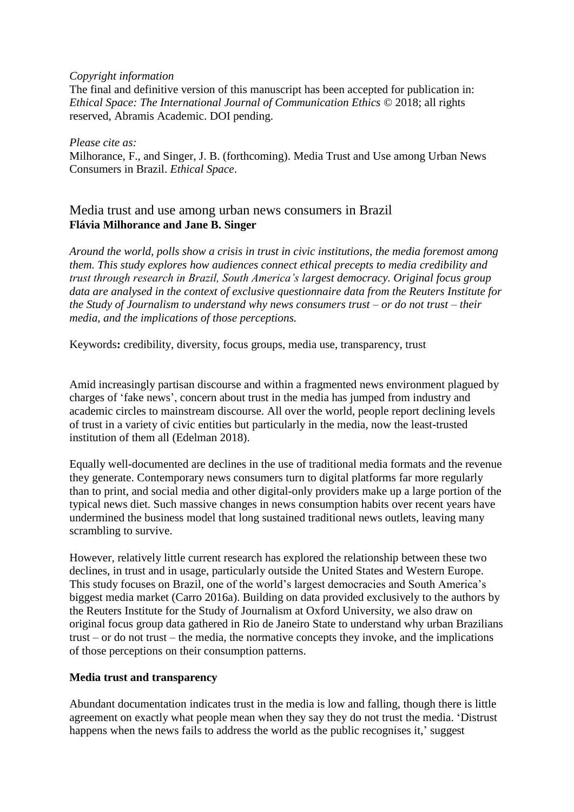#### *Copyright information*

The final and definitive version of this manuscript has been accepted for publication in: *Ethical Space: The International Journal of Communication Ethics* © 2018; all rights reserved, Abramis Academic. DOI pending.

*Please cite as:* Milhorance, F., and Singer, J. B. (forthcoming). Media Trust and Use among Urban News Consumers in Brazil. *Ethical Space*.

### Media trust and use among urban news consumers in Brazil **Flávia Milhorance and Jane B. Singer**

*Around the world, polls show a crisis in trust in civic institutions, the media foremost among them. This study explores how audiences connect ethical precepts to media credibility and trust through research in Brazil, South America's largest democracy. Original focus group data are analysed in the context of exclusive questionnaire data from the Reuters Institute for the Study of Journalism to understand why news consumers trust – or do not trust – their media, and the implications of those perceptions.*

Keywords**:** credibility, diversity, focus groups, media use, transparency, trust

Amid increasingly partisan discourse and within a fragmented news environment plagued by charges of 'fake news', concern about trust in the media has jumped from industry and academic circles to mainstream discourse. All over the world, people report declining levels of trust in a variety of civic entities but particularly in the media, now the least-trusted institution of them all (Edelman 2018).

Equally well-documented are declines in the use of traditional media formats and the revenue they generate. Contemporary news consumers turn to digital platforms far more regularly than to print, and social media and other digital-only providers make up a large portion of the typical news diet. Such massive changes in news consumption habits over recent years have undermined the business model that long sustained traditional news outlets, leaving many scrambling to survive.

However, relatively little current research has explored the relationship between these two declines, in trust and in usage, particularly outside the United States and Western Europe. This study focuses on Brazil, one of the world's largest democracies and South America's biggest media market (Carro 2016a). Building on data provided exclusively to the authors by the Reuters Institute for the Study of Journalism at Oxford University, we also draw on original focus group data gathered in Rio de Janeiro State to understand why urban Brazilians trust – or do not trust – the media, the normative concepts they invoke, and the implications of those perceptions on their consumption patterns.

#### **Media trust and transparency**

Abundant documentation indicates trust in the media is low and falling, though there is little agreement on exactly what people mean when they say they do not trust the media. 'Distrust happens when the news fails to address the world as the public recognises it,' suggest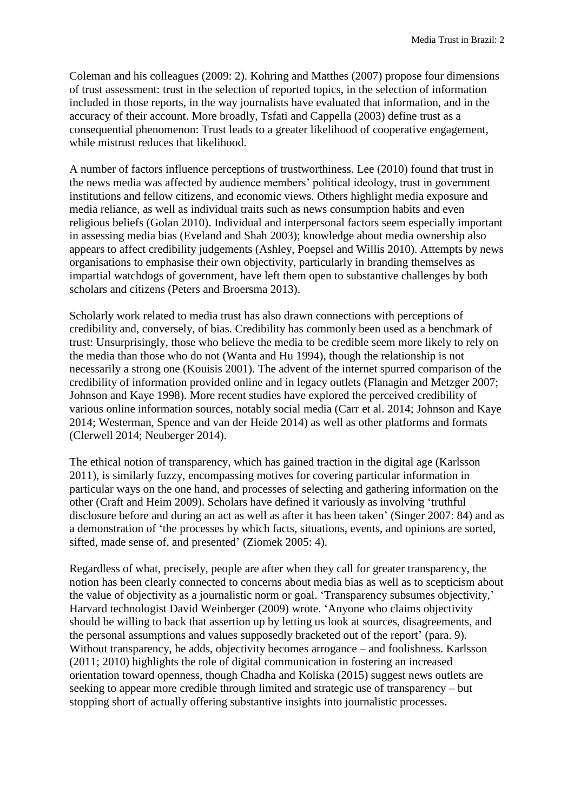Coleman and his colleagues (2009: 2). Kohring and Matthes (2007) propose four dimensions of trust assessment: trust in the selection of reported topics, in the selection of information included in those reports, in the way journalists have evaluated that information, and in the accuracy of their account. More broadly, Tsfati and Cappella (2003) define trust as a consequential phenomenon: Trust leads to a greater likelihood of cooperative engagement, while mistrust reduces that likelihood.

A number of factors influence perceptions of trustworthiness. Lee (2010) found that trust in the news media was affected by audience members' political ideology, trust in government institutions and fellow citizens, and economic views. Others highlight media exposure and media reliance, as well as individual traits such as news consumption habits and even religious beliefs (Golan 2010). Individual and interpersonal factors seem especially important in assessing media bias (Eveland and Shah 2003); knowledge about media ownership also appears to affect credibility judgements (Ashley, Poepsel and Willis 2010). Attempts by news organisations to emphasise their own objectivity, particularly in branding themselves as impartial watchdogs of government, have left them open to substantive challenges by both scholars and citizens (Peters and Broersma 2013).

Scholarly work related to media trust has also drawn connections with perceptions of credibility and, conversely, of bias. Credibility has commonly been used as a benchmark of trust: Unsurprisingly, those who believe the media to be credible seem more likely to rely on the media than those who do not (Wanta and Hu 1994), though the relationship is not necessarily a strong one (Kouisis 2001). The advent of the internet spurred comparison of the credibility of information provided online and in legacy outlets (Flanagin and Metzger 2007; Johnson and Kaye 1998). More recent studies have explored the perceived credibility of various online information sources, notably social media (Carr et al. 2014; Johnson and Kaye 2014; Westerman, Spence and van der Heide 2014) as well as other platforms and formats (Clerwell 2014; Neuberger 2014).

The ethical notion of transparency, which has gained traction in the digital age (Karlsson 2011), is similarly fuzzy, encompassing motives for covering particular information in particular ways on the one hand, and processes of selecting and gathering information on the other (Craft and Heim 2009). Scholars have defined it variously as involving 'truthful disclosure before and during an act as well as after it has been taken' (Singer 2007: 84) and as a demonstration of 'the processes by which facts, situations, events, and opinions are sorted, sifted, made sense of, and presented' (Ziomek 2005: 4).

Regardless of what, precisely, people are after when they call for greater transparency, the notion has been clearly connected to concerns about media bias as well as to scepticism about the value of objectivity as a journalistic norm or goal. 'Transparency subsumes objectivity,' Harvard technologist David Weinberger (2009) wrote. 'Anyone who claims objectivity should be willing to back that assertion up by letting us look at sources, disagreements, and the personal assumptions and values supposedly bracketed out of the report' (para. 9). Without transparency, he adds, objectivity becomes arrogance – and foolishness. Karlsson (2011; 2010) highlights the role of digital communication in fostering an increased orientation toward openness, though Chadha and Koliska (2015) suggest news outlets are seeking to appear more credible through limited and strategic use of transparency – but stopping short of actually offering substantive insights into journalistic processes.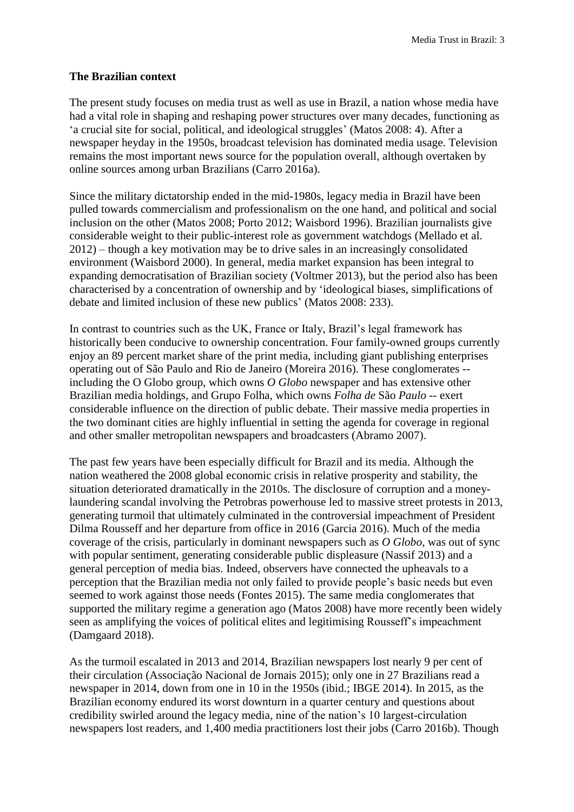#### **The Brazilian context**

The present study focuses on media trust as well as use in Brazil, a nation whose media have had a vital role in shaping and reshaping power structures over many decades, functioning as 'a crucial site for social, political, and ideological struggles' (Matos 2008: 4). After a newspaper heyday in the 1950s, broadcast television has dominated media usage. Television remains the most important news source for the population overall, although overtaken by online sources among urban Brazilians (Carro 2016a).

Since the military dictatorship ended in the mid-1980s, legacy media in Brazil have been pulled towards commercialism and professionalism on the one hand, and political and social inclusion on the other (Matos 2008; Porto 2012; Waisbord 1996). Brazilian journalists give considerable weight to their public-interest role as government watchdogs (Mellado et al. 2012) – though a key motivation may be to drive sales in an increasingly consolidated environment (Waisbord 2000). In general, media market expansion has been integral to expanding democratisation of Brazilian society (Voltmer 2013), but the period also has been characterised by a concentration of ownership and by 'ideological biases, simplifications of debate and limited inclusion of these new publics' (Matos 2008: 233).

In contrast to countries such as the UK, France or Italy, Brazil's legal framework has historically been conducive to ownership concentration. Four family-owned groups currently enjoy an 89 percent market share of the print media, including giant publishing enterprises operating out of São Paulo and Rio de Janeiro (Moreira 2016). These conglomerates - including the O Globo group, which owns *O Globo* newspaper and has extensive other Brazilian media holdings, and Grupo Folha, which owns *Folha de* São *Paulo* -- exert considerable influence on the direction of public debate. Their massive media properties in the two dominant cities are highly influential in setting the agenda for coverage in regional and other smaller metropolitan newspapers and broadcasters (Abramo 2007).

The past few years have been especially difficult for Brazil and its media. Although the nation weathered the 2008 global economic crisis in relative prosperity and stability, the situation deteriorated dramatically in the 2010s. The disclosure of corruption and a moneylaundering scandal involving the Petrobras powerhouse led to massive street protests in 2013, generating turmoil that ultimately culminated in the controversial impeachment of President Dilma Rousseff and her departure from office in 2016 (Garcia 2016). Much of the media coverage of the crisis, particularly in dominant newspapers such as *O Globo*, was out of sync with popular sentiment, generating considerable public displeasure (Nassif 2013) and a general perception of media bias. Indeed, observers have connected the upheavals to a perception that the Brazilian media not only failed to provide people's basic needs but even seemed to work against those needs (Fontes 2015). The same media conglomerates that supported the military regime a generation ago (Matos 2008) have more recently been widely seen as amplifying the voices of political elites and legitimising Rousseff's impeachment (Damgaard 2018).

As the turmoil escalated in 2013 and 2014, Brazilian newspapers lost nearly 9 per cent of their circulation (Associação Nacional de Jornais 2015); only one in 27 Brazilians read a newspaper in 2014, down from one in 10 in the 1950s (ibid.; IBGE 2014). In 2015, as the Brazilian economy endured its worst downturn in a quarter century and questions about credibility swirled around the legacy media, nine of the nation's 10 largest-circulation newspapers lost readers, and 1,400 media practitioners lost their jobs (Carro 2016b). Though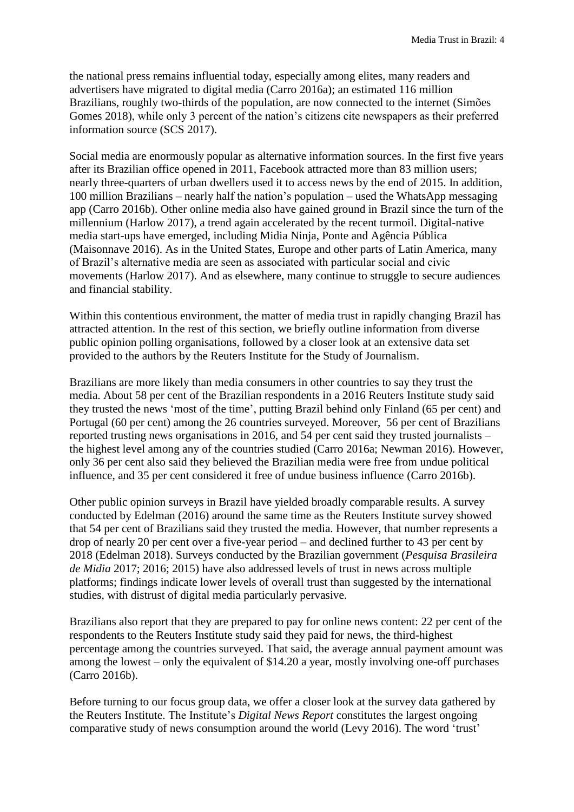the national press remains influential today, especially among elites, many readers and advertisers have migrated to digital media (Carro 2016a); an estimated 116 million Brazilians, roughly two-thirds of the population, are now connected to the internet (Simões Gomes 2018), while only 3 percent of the nation's citizens cite newspapers as their preferred information source (SCS 2017).

Social media are enormously popular as alternative information sources. In the first five years after its Brazilian office opened in 2011, Facebook attracted more than 83 million users; nearly three-quarters of urban dwellers used it to access news by the end of 2015. In addition, 100 million Brazilians – nearly half the nation's population – used the WhatsApp messaging app (Carro 2016b). Other online media also have gained ground in Brazil since the turn of the millennium (Harlow 2017), a trend again accelerated by the recent turmoil. Digital-native media start-ups have emerged, including Midia Ninja, Ponte and Agência Pública (Maisonnave 2016). As in the United States, Europe and other parts of Latin America, many of Brazil's alternative media are seen as associated with particular social and civic movements (Harlow 2017). And as elsewhere, many continue to struggle to secure audiences and financial stability.

Within this contentious environment, the matter of media trust in rapidly changing Brazil has attracted attention. In the rest of this section, we briefly outline information from diverse public opinion polling organisations, followed by a closer look at an extensive data set provided to the authors by the Reuters Institute for the Study of Journalism.

Brazilians are more likely than media consumers in other countries to say they trust the media. About 58 per cent of the Brazilian respondents in a 2016 Reuters Institute study said they trusted the news 'most of the time', putting Brazil behind only Finland (65 per cent) and Portugal (60 per cent) among the 26 countries surveyed. Moreover, 56 per cent of Brazilians reported trusting news organisations in 2016, and 54 per cent said they trusted journalists – the highest level among any of the countries studied (Carro 2016a; Newman 2016). However, only 36 per cent also said they believed the Brazilian media were free from undue political influence, and 35 per cent considered it free of undue business influence (Carro 2016b).

Other public opinion surveys in Brazil have yielded broadly comparable results. A survey conducted by Edelman (2016) around the same time as the Reuters Institute survey showed that 54 per cent of Brazilians said they trusted the media. However, that number represents a drop of nearly 20 per cent over a five-year period – and declined further to 43 per cent by 2018 (Edelman 2018). Surveys conducted by the Brazilian government (*Pesquisa Brasileira de Midia* 2017; 2016; 2015) have also addressed levels of trust in news across multiple platforms; findings indicate lower levels of overall trust than suggested by the international studies, with distrust of digital media particularly pervasive.

Brazilians also report that they are prepared to pay for online news content: 22 per cent of the respondents to the Reuters Institute study said they paid for news, the third-highest percentage among the countries surveyed. That said, the average annual payment amount was among the lowest – only the equivalent of \$14.20 a year, mostly involving one-off purchases (Carro 2016b).

Before turning to our focus group data, we offer a closer look at the survey data gathered by the Reuters Institute. The Institute's *Digital News Report* constitutes the largest ongoing comparative study of news consumption around the world (Levy 2016). The word 'trust'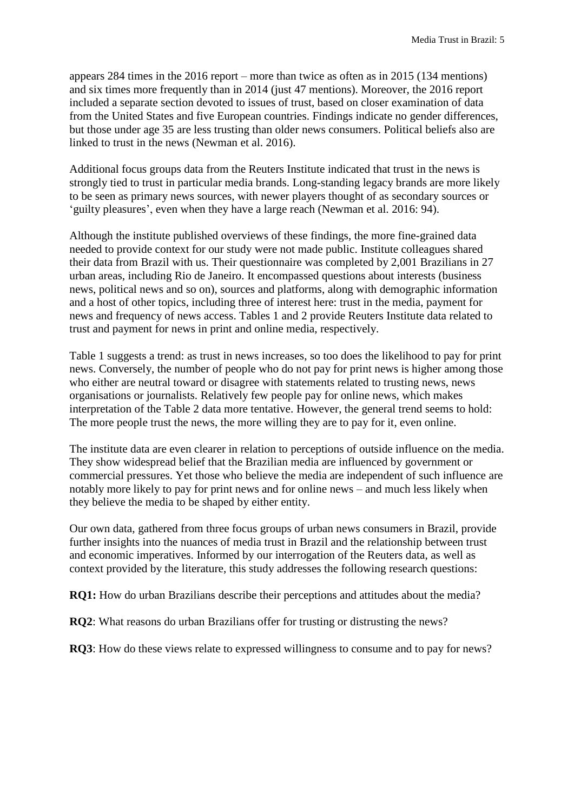appears 284 times in the 2016 report – more than twice as often as in 2015 (134 mentions) and six times more frequently than in 2014 (just 47 mentions). Moreover, the 2016 report included a separate section devoted to issues of trust, based on closer examination of data from the United States and five European countries. Findings indicate no gender differences, but those under age 35 are less trusting than older news consumers. Political beliefs also are linked to trust in the news (Newman et al. 2016).

Additional focus groups data from the Reuters Institute indicated that trust in the news is strongly tied to trust in particular media brands. Long-standing legacy brands are more likely to be seen as primary news sources, with newer players thought of as secondary sources or 'guilty pleasures', even when they have a large reach (Newman et al. 2016: 94).

Although the institute published overviews of these findings, the more fine-grained data needed to provide context for our study were not made public. Institute colleagues shared their data from Brazil with us. Their questionnaire was completed by 2,001 Brazilians in 27 urban areas, including Rio de Janeiro. It encompassed questions about interests (business news, political news and so on), sources and platforms, along with demographic information and a host of other topics, including three of interest here: trust in the media, payment for news and frequency of news access. Tables 1 and 2 provide Reuters Institute data related to trust and payment for news in print and online media, respectively.

Table 1 suggests a trend: as trust in news increases, so too does the likelihood to pay for print news. Conversely, the number of people who do not pay for print news is higher among those who either are neutral toward or disagree with statements related to trusting news, news organisations or journalists. Relatively few people pay for online news, which makes interpretation of the Table 2 data more tentative. However, the general trend seems to hold: The more people trust the news, the more willing they are to pay for it, even online.

The institute data are even clearer in relation to perceptions of outside influence on the media. They show widespread belief that the Brazilian media are influenced by government or commercial pressures. Yet those who believe the media are independent of such influence are notably more likely to pay for print news and for online news – and much less likely when they believe the media to be shaped by either entity.

Our own data, gathered from three focus groups of urban news consumers in Brazil, provide further insights into the nuances of media trust in Brazil and the relationship between trust and economic imperatives. Informed by our interrogation of the Reuters data, as well as context provided by the literature, this study addresses the following research questions:

**RQ1:** How do urban Brazilians describe their perceptions and attitudes about the media?

**RQ2**: What reasons do urban Brazilians offer for trusting or distrusting the news?

**RQ3**: How do these views relate to expressed willingness to consume and to pay for news?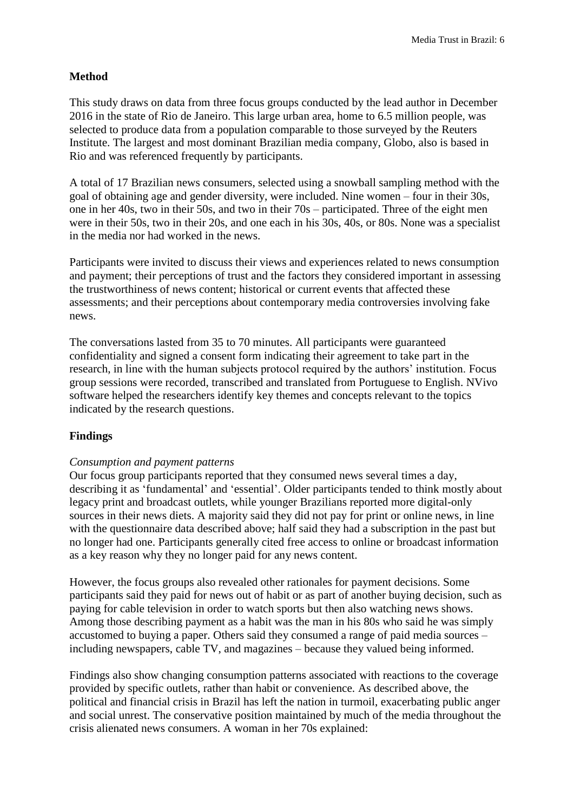#### **Method**

This study draws on data from three focus groups conducted by the lead author in December 2016 in the state of Rio de Janeiro. This large urban area, home to 6.5 million people, was selected to produce data from a population comparable to those surveyed by the Reuters Institute. The largest and most dominant Brazilian media company, Globo, also is based in Rio and was referenced frequently by participants.

A total of 17 Brazilian news consumers, selected using a snowball sampling method with the goal of obtaining age and gender diversity, were included. Nine women – four in their 30s, one in her 40s, two in their 50s, and two in their 70s – participated. Three of the eight men were in their 50s, two in their 20s, and one each in his 30s, 40s, or 80s. None was a specialist in the media nor had worked in the news.

Participants were invited to discuss their views and experiences related to news consumption and payment; their perceptions of trust and the factors they considered important in assessing the trustworthiness of news content; historical or current events that affected these assessments; and their perceptions about contemporary media controversies involving fake news.

The conversations lasted from 35 to 70 minutes. All participants were guaranteed confidentiality and signed a consent form indicating their agreement to take part in the research, in line with the human subjects protocol required by the authors' institution. Focus group sessions were recorded, transcribed and translated from Portuguese to English. NVivo software helped the researchers identify key themes and concepts relevant to the topics indicated by the research questions.

#### **Findings**

#### *Consumption and payment patterns*

Our focus group participants reported that they consumed news several times a day, describing it as 'fundamental' and 'essential'. Older participants tended to think mostly about legacy print and broadcast outlets, while younger Brazilians reported more digital-only sources in their news diets. A majority said they did not pay for print or online news, in line with the questionnaire data described above; half said they had a subscription in the past but no longer had one. Participants generally cited free access to online or broadcast information as a key reason why they no longer paid for any news content.

However, the focus groups also revealed other rationales for payment decisions. Some participants said they paid for news out of habit or as part of another buying decision, such as paying for cable television in order to watch sports but then also watching news shows. Among those describing payment as a habit was the man in his 80s who said he was simply accustomed to buying a paper. Others said they consumed a range of paid media sources – including newspapers, cable TV, and magazines – because they valued being informed.

Findings also show changing consumption patterns associated with reactions to the coverage provided by specific outlets, rather than habit or convenience. As described above, the political and financial crisis in Brazil has left the nation in turmoil, exacerbating public anger and social unrest. The conservative position maintained by much of the media throughout the crisis alienated news consumers. A woman in her 70s explained: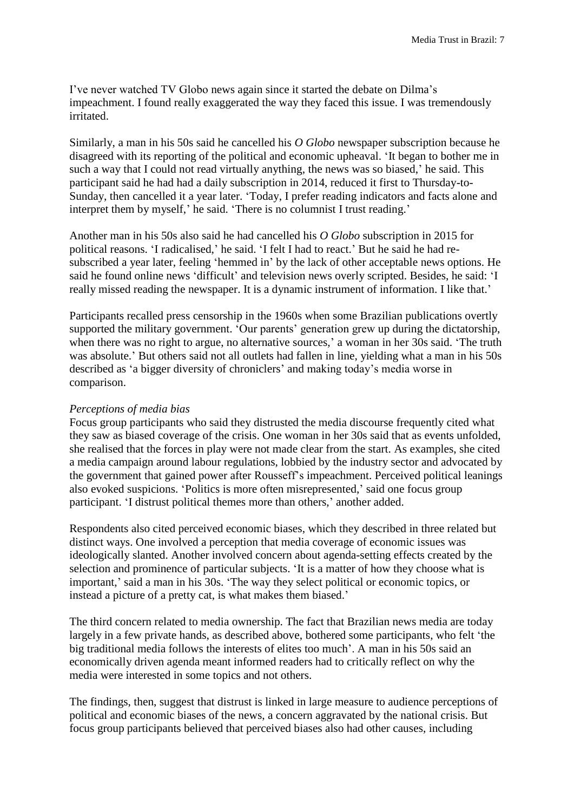I've never watched TV Globo news again since it started the debate on Dilma's impeachment. I found really exaggerated the way they faced this issue. I was tremendously irritated.

Similarly, a man in his 50s said he cancelled his *O Globo* newspaper subscription because he disagreed with its reporting of the political and economic upheaval. 'It began to bother me in such a way that I could not read virtually anything, the news was so biased,' he said. This participant said he had had a daily subscription in 2014, reduced it first to Thursday-to-Sunday, then cancelled it a year later. 'Today, I prefer reading indicators and facts alone and interpret them by myself,' he said. 'There is no columnist I trust reading.'

Another man in his 50s also said he had cancelled his *O Globo* subscription in 2015 for political reasons. 'I radicalised,' he said. 'I felt I had to react.' But he said he had resubscribed a year later, feeling 'hemmed in' by the lack of other acceptable news options. He said he found online news 'difficult' and television news overly scripted. Besides, he said: 'I really missed reading the newspaper. It is a dynamic instrument of information. I like that.'

Participants recalled press censorship in the 1960s when some Brazilian publications overtly supported the military government. 'Our parents' generation grew up during the dictatorship, when there was no right to argue, no alternative sources,' a woman in her 30s said. 'The truth was absolute.' But others said not all outlets had fallen in line, yielding what a man in his 50s described as 'a bigger diversity of chroniclers' and making today's media worse in comparison.

#### *Perceptions of media bias*

Focus group participants who said they distrusted the media discourse frequently cited what they saw as biased coverage of the crisis. One woman in her 30s said that as events unfolded, she realised that the forces in play were not made clear from the start. As examples, she cited a media campaign around labour regulations, lobbied by the industry sector and advocated by the government that gained power after Rousseff's impeachment. Perceived political leanings also evoked suspicions. 'Politics is more often misrepresented,' said one focus group participant. 'I distrust political themes more than others,' another added.

Respondents also cited perceived economic biases, which they described in three related but distinct ways. One involved a perception that media coverage of economic issues was ideologically slanted. Another involved concern about agenda-setting effects created by the selection and prominence of particular subjects. 'It is a matter of how they choose what is important,' said a man in his 30s. 'The way they select political or economic topics, or instead a picture of a pretty cat, is what makes them biased.'

The third concern related to media ownership. The fact that Brazilian news media are today largely in a few private hands, as described above, bothered some participants, who felt 'the big traditional media follows the interests of elites too much'. A man in his 50s said an economically driven agenda meant informed readers had to critically reflect on why the media were interested in some topics and not others.

The findings, then, suggest that distrust is linked in large measure to audience perceptions of political and economic biases of the news, a concern aggravated by the national crisis. But focus group participants believed that perceived biases also had other causes, including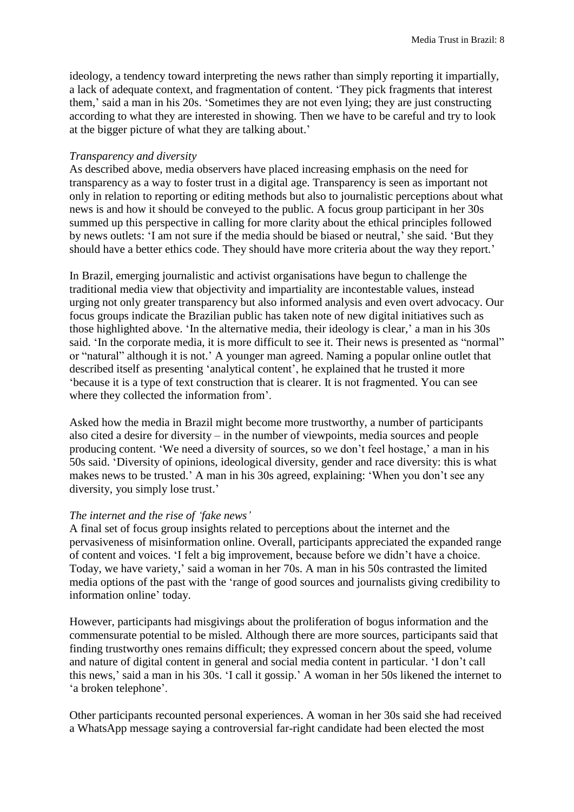ideology, a tendency toward interpreting the news rather than simply reporting it impartially, a lack of adequate context, and fragmentation of content. 'They pick fragments that interest them,' said a man in his 20s. 'Sometimes they are not even lying; they are just constructing according to what they are interested in showing. Then we have to be careful and try to look at the bigger picture of what they are talking about.'

#### *Transparency and diversity*

As described above, media observers have placed increasing emphasis on the need for transparency as a way to foster trust in a digital age. Transparency is seen as important not only in relation to reporting or editing methods but also to journalistic perceptions about what news is and how it should be conveyed to the public. A focus group participant in her 30s summed up this perspective in calling for more clarity about the ethical principles followed by news outlets: 'I am not sure if the media should be biased or neutral,' she said. 'But they should have a better ethics code. They should have more criteria about the way they report.'

In Brazil, emerging journalistic and activist organisations have begun to challenge the traditional media view that objectivity and impartiality are incontestable values, instead urging not only greater transparency but also informed analysis and even overt advocacy. Our focus groups indicate the Brazilian public has taken note of new digital initiatives such as those highlighted above. 'In the alternative media, their ideology is clear,' a man in his 30s said. 'In the corporate media, it is more difficult to see it. Their news is presented as "normal" or "natural" although it is not.' A younger man agreed. Naming a popular online outlet that described itself as presenting 'analytical content', he explained that he trusted it more 'because it is a type of text construction that is clearer. It is not fragmented. You can see where they collected the information from'.

Asked how the media in Brazil might become more trustworthy, a number of participants also cited a desire for diversity – in the number of viewpoints, media sources and people producing content. 'We need a diversity of sources, so we don't feel hostage,' a man in his 50s said. 'Diversity of opinions, ideological diversity, gender and race diversity: this is what makes news to be trusted.' A man in his 30s agreed, explaining: 'When you don't see any diversity, you simply lose trust.'

#### *The internet and the rise of 'fake news'*

A final set of focus group insights related to perceptions about the internet and the pervasiveness of misinformation online. Overall, participants appreciated the expanded range of content and voices. 'I felt a big improvement, because before we didn't have a choice. Today, we have variety,' said a woman in her 70s. A man in his 50s contrasted the limited media options of the past with the 'range of good sources and journalists giving credibility to information online' today.

However, participants had misgivings about the proliferation of bogus information and the commensurate potential to be misled. Although there are more sources, participants said that finding trustworthy ones remains difficult; they expressed concern about the speed, volume and nature of digital content in general and social media content in particular. 'I don't call this news,' said a man in his 30s. 'I call it gossip.' A woman in her 50s likened the internet to 'a broken telephone'.

Other participants recounted personal experiences. A woman in her 30s said she had received a WhatsApp message saying a controversial far-right candidate had been elected the most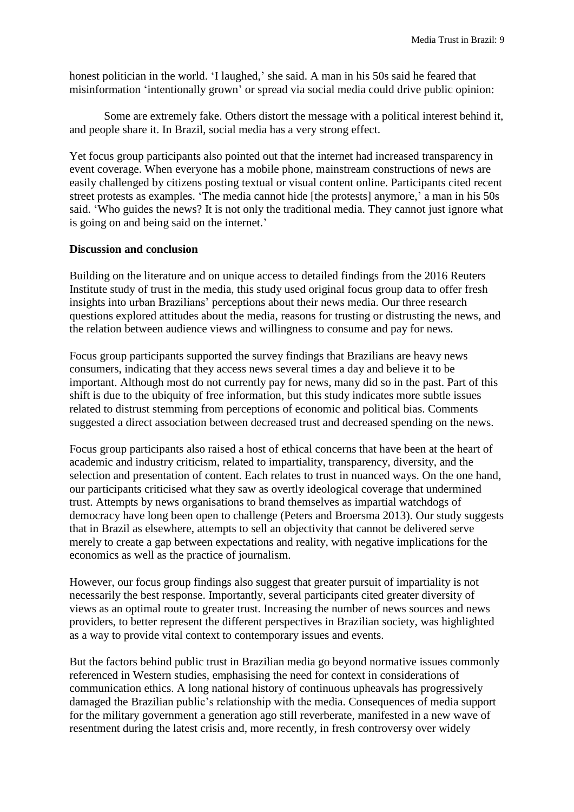honest politician in the world. 'I laughed,' she said. A man in his 50s said he feared that misinformation 'intentionally grown' or spread via social media could drive public opinion:

Some are extremely fake. Others distort the message with a political interest behind it, and people share it. In Brazil, social media has a very strong effect.

Yet focus group participants also pointed out that the internet had increased transparency in event coverage. When everyone has a mobile phone, mainstream constructions of news are easily challenged by citizens posting textual or visual content online. Participants cited recent street protests as examples. 'The media cannot hide [the protests] anymore,' a man in his 50s said. 'Who guides the news? It is not only the traditional media. They cannot just ignore what is going on and being said on the internet.'

#### **Discussion and conclusion**

Building on the literature and on unique access to detailed findings from the 2016 Reuters Institute study of trust in the media, this study used original focus group data to offer fresh insights into urban Brazilians' perceptions about their news media. Our three research questions explored attitudes about the media, reasons for trusting or distrusting the news, and the relation between audience views and willingness to consume and pay for news.

Focus group participants supported the survey findings that Brazilians are heavy news consumers, indicating that they access news several times a day and believe it to be important. Although most do not currently pay for news, many did so in the past. Part of this shift is due to the ubiquity of free information, but this study indicates more subtle issues related to distrust stemming from perceptions of economic and political bias. Comments suggested a direct association between decreased trust and decreased spending on the news.

Focus group participants also raised a host of ethical concerns that have been at the heart of academic and industry criticism, related to impartiality, transparency, diversity, and the selection and presentation of content. Each relates to trust in nuanced ways. On the one hand, our participants criticised what they saw as overtly ideological coverage that undermined trust. Attempts by news organisations to brand themselves as impartial watchdogs of democracy have long been open to challenge (Peters and Broersma 2013). Our study suggests that in Brazil as elsewhere, attempts to sell an objectivity that cannot be delivered serve merely to create a gap between expectations and reality, with negative implications for the economics as well as the practice of journalism.

However, our focus group findings also suggest that greater pursuit of impartiality is not necessarily the best response. Importantly, several participants cited greater diversity of views as an optimal route to greater trust. Increasing the number of news sources and news providers, to better represent the different perspectives in Brazilian society, was highlighted as a way to provide vital context to contemporary issues and events.

But the factors behind public trust in Brazilian media go beyond normative issues commonly referenced in Western studies, emphasising the need for context in considerations of communication ethics. A long national history of continuous upheavals has progressively damaged the Brazilian public's relationship with the media. Consequences of media support for the military government a generation ago still reverberate, manifested in a new wave of resentment during the latest crisis and, more recently, in fresh controversy over widely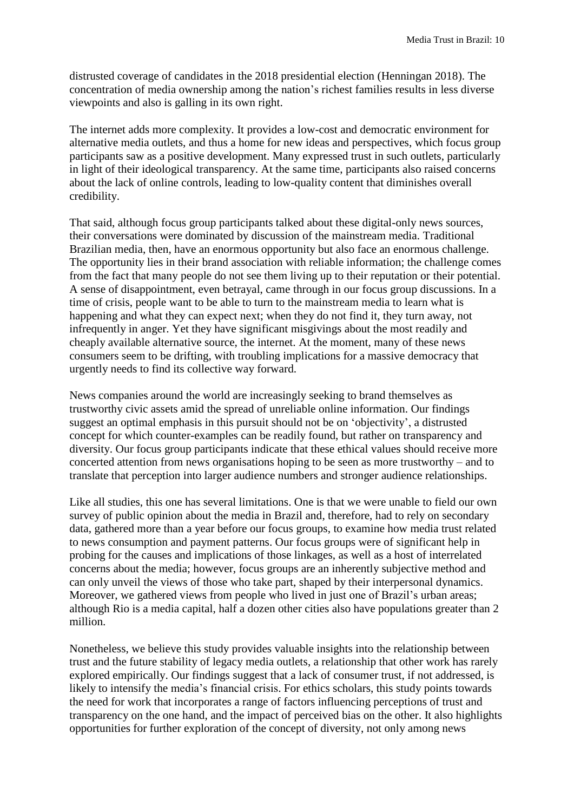distrusted coverage of candidates in the 2018 presidential election (Henningan 2018). The concentration of media ownership among the nation's richest families results in less diverse viewpoints and also is galling in its own right.

The internet adds more complexity. It provides a low-cost and democratic environment for alternative media outlets, and thus a home for new ideas and perspectives, which focus group participants saw as a positive development. Many expressed trust in such outlets, particularly in light of their ideological transparency. At the same time, participants also raised concerns about the lack of online controls, leading to low-quality content that diminishes overall credibility.

That said, although focus group participants talked about these digital-only news sources, their conversations were dominated by discussion of the mainstream media. Traditional Brazilian media, then, have an enormous opportunity but also face an enormous challenge. The opportunity lies in their brand association with reliable information; the challenge comes from the fact that many people do not see them living up to their reputation or their potential. A sense of disappointment, even betrayal, came through in our focus group discussions. In a time of crisis, people want to be able to turn to the mainstream media to learn what is happening and what they can expect next; when they do not find it, they turn away, not infrequently in anger. Yet they have significant misgivings about the most readily and cheaply available alternative source, the internet. At the moment, many of these news consumers seem to be drifting, with troubling implications for a massive democracy that urgently needs to find its collective way forward.

News companies around the world are increasingly seeking to brand themselves as trustworthy civic assets amid the spread of unreliable online information. Our findings suggest an optimal emphasis in this pursuit should not be on 'objectivity', a distrusted concept for which counter-examples can be readily found, but rather on transparency and diversity. Our focus group participants indicate that these ethical values should receive more concerted attention from news organisations hoping to be seen as more trustworthy – and to translate that perception into larger audience numbers and stronger audience relationships.

Like all studies, this one has several limitations. One is that we were unable to field our own survey of public opinion about the media in Brazil and, therefore, had to rely on secondary data, gathered more than a year before our focus groups, to examine how media trust related to news consumption and payment patterns. Our focus groups were of significant help in probing for the causes and implications of those linkages, as well as a host of interrelated concerns about the media; however, focus groups are an inherently subjective method and can only unveil the views of those who take part, shaped by their interpersonal dynamics. Moreover, we gathered views from people who lived in just one of Brazil's urban areas; although Rio is a media capital, half a dozen other cities also have populations greater than 2 million.

Nonetheless, we believe this study provides valuable insights into the relationship between trust and the future stability of legacy media outlets, a relationship that other work has rarely explored empirically. Our findings suggest that a lack of consumer trust, if not addressed, is likely to intensify the media's financial crisis. For ethics scholars, this study points towards the need for work that incorporates a range of factors influencing perceptions of trust and transparency on the one hand, and the impact of perceived bias on the other. It also highlights opportunities for further exploration of the concept of diversity, not only among news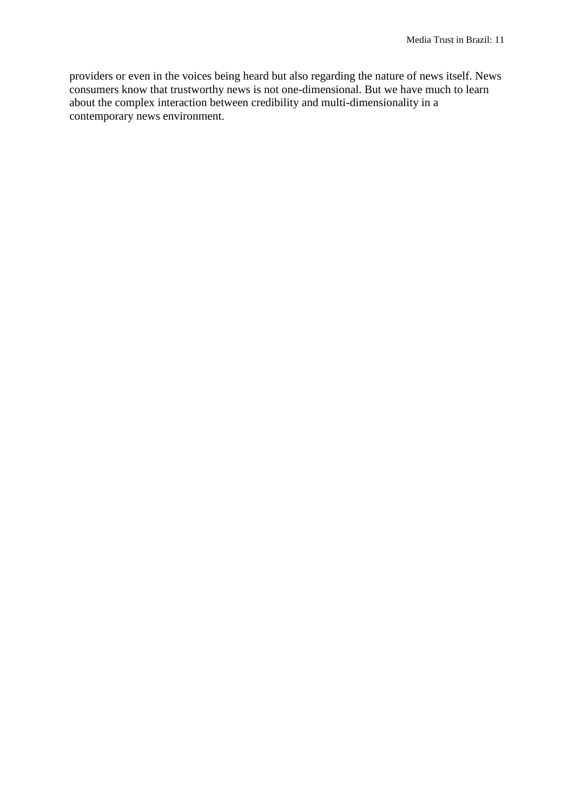providers or even in the voices being heard but also regarding the nature of news itself. News consumers know that trustworthy news is not one-dimensional. But we have much to learn about the complex interaction between credibility and multi-dimensionality in a contemporary news environment.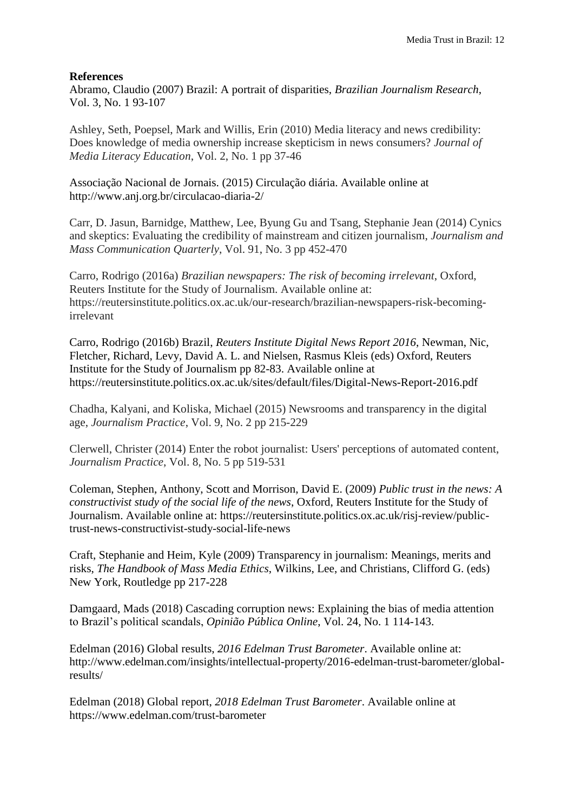#### **References**

Abramo, Claudio (2007) Brazil: A portrait of disparities, *Brazilian Journalism Research*, Vol. 3, No. 1 93-107

Ashley, Seth, Poepsel, Mark and Willis, Erin (2010) Media literacy and news credibility: Does knowledge of media ownership increase skepticism in news consumers? *Journal of Media Literacy Education*, Vol. 2, No. 1 pp 37-46

Associação Nacional de Jornais. (2015) Circulação diária. Available online at http://www.anj.org.br/circulacao-diaria-2/

Carr, D. Jasun, Barnidge, Matthew, Lee, Byung Gu and Tsang, Stephanie Jean (2014) Cynics and skeptics: Evaluating the credibility of mainstream and citizen journalism, *Journalism and Mass Communication Quarterly*, Vol. 91, No. 3 pp 452-470

Carro, Rodrigo (2016a) *Brazilian newspapers: The risk of becoming irrelevant*, Oxford, Reuters Institute for the Study of Journalism. Available online at: https://reutersinstitute.politics.ox.ac.uk/our-research/brazilian-newspapers-risk-becomingirrelevant

Carro, Rodrigo (2016b) Brazil, *Reuters Institute Digital News Report 2016*, Newman, Nic, Fletcher, Richard, Levy, David A. L. and Nielsen, Rasmus Kleis (eds) Oxford, Reuters Institute for the Study of Journalism pp 82-83. Available online at https://reutersinstitute.politics.ox.ac.uk/sites/default/files/Digital-News-Report-2016.pdf

Chadha, Kalyani, and Koliska, Michael (2015) Newsrooms and transparency in the digital age, *Journalism Practice*, Vol. 9, No. 2 pp 215-229

Clerwell, Christer (2014) Enter the robot journalist: Users' perceptions of automated content, *Journalism Practice*, Vol. 8, No. 5 pp 519-531

Coleman, Stephen, Anthony, Scott and Morrison, David E. (2009) *Public trust in the news: A constructivist study of the social life of the news*, Oxford, Reuters Institute for the Study of Journalism. Available online at: https://reutersinstitute.politics.ox.ac.uk/risj-review/publictrust-news-constructivist-study-social-life-news

Craft, Stephanie and Heim, Kyle (2009) Transparency in journalism: Meanings, merits and risks, *The Handbook of Mass Media Ethics*, Wilkins, Lee, and Christians, Clifford G. (eds) New York, Routledge pp 217-228

Damgaard, Mads (2018) Cascading corruption news: Explaining the bias of media attention to Brazil's political scandals, *Opinião Pública Online*, Vol. 24, No. 1 114-143.

Edelman (2016) Global results, *2016 Edelman Trust Barometer*. Available online at: [http://www.edelman.com/insights/intellectual-property/2016-edelman-trust-b](http://www.edelman.com/insights/intellectual-property/2016-edelman-trust-)arometer/globalresults/

Edelman (2018) Global report, *2018 Edelman Trust Barometer*. Available online at https://www.edelman.com/trust-barometer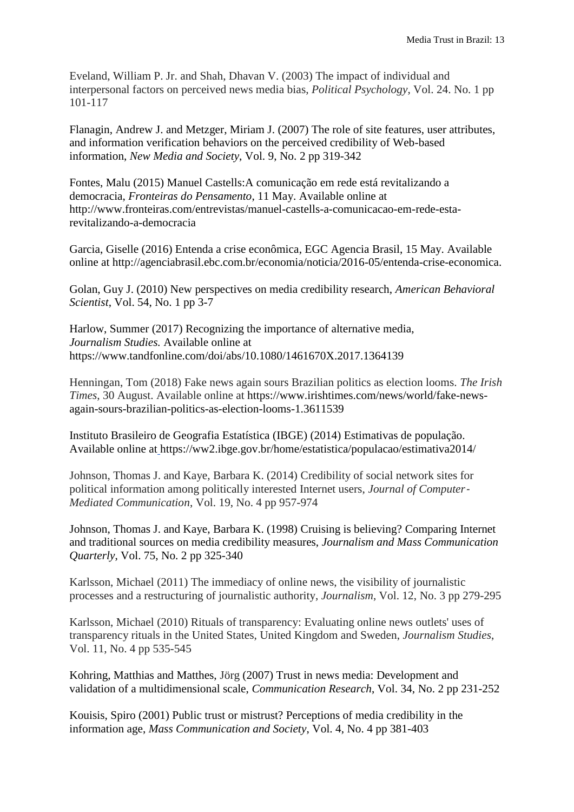Eveland, William P. Jr. and Shah, Dhavan V. (2003) The impact of individual and interpersonal factors on perceived news media bias, *Political Psychology*, Vol. 24. No. 1 pp 101-117

Flanagin, Andrew J. and Metzger, Miriam J. (2007) The role of site features, user attributes, and information verification behaviors on the perceived credibility of Web-based information, *New Media and Society*, Vol. 9, No. 2 pp 319-342

Fontes, Malu (2015) Manuel Castells:A comunicação em rede está revitalizando a democracia, *Fronteiras do Pensamento*, 11 May. Available online at [http://www.fronteiras.com/entrevistas/manuel-castells-a-comunicacao-em-rede-esta](http://www.fronteiras.com/entrevistas/manuel-castells-a-comunicacao-em-rede-esta-)revitalizando-a-democracia

Garcia, Giselle (2016) Entenda a crise econômica, EGC Agencia Brasil, 15 May. Available online at http://agenciabrasil.ebc.com.br/economia/noticia/2016-05/entenda-crise-economica.

Golan, Guy J. (2010) New perspectives on media credibility research, *American Behavioral Scientist*, Vol. 54, No. 1 pp 3-7

Harlow, Summer (2017) Recognizing the importance of alternative media, *Journalism Studies.* Available online at https://www.tandfonline.com/doi/abs/10.1080/1461670X.2017.1364139

Henningan, Tom (2018) Fake news again sours Brazilian politics as election looms. *The Irish Times*, 30 August. Available online at [https://www.irishtimes.com/news/world/fake-news](https://www.irishtimes.com/news/world/fake-news-again-sours-brazilian-politics-as-election-looms-1.3611539)[again-sours-brazilian-politics-as-election-looms-1.3611539](https://www.irishtimes.com/news/world/fake-news-again-sours-brazilian-politics-as-election-looms-1.3611539)

Instituto Brasileiro de Geografia Estatística (IBGE) (2014) Estimativas de população. Available online at https://ww2.ibge.gov.br/home/estatistica/populacao/estimativa2014/

Johnson, Thomas J. and Kaye, Barbara K. (2014) Credibility of social network sites for political information among politically interested Internet users, *Journal of Computer*‐ *Mediated Communication*, Vol. 19, No. 4 pp 957-974

Johnson, Thomas J. and Kaye, Barbara K. (1998) Cruising is believing? Comparing Internet and traditional sources on media credibility measures, *Journalism and Mass Communication Quarterly*, Vol. 75, No. 2 pp 325-340

Karlsson, Michael (2011) The immediacy of online news, the visibility of journalistic processes and a restructuring of journalistic authority, *Journalism*, Vol. 12, No. 3 pp 279-295

Karlsson, Michael (2010) Rituals of transparency: Evaluating online news outlets' uses of transparency rituals in the United States, United Kingdom and Sweden, *Journalism Studies*, Vol. 11, No. 4 pp 535-545

Kohring, Matthias and Matthes, Jörg (2007) Trust in news media: Development and validation of a multidimensional scale, *Communication Research*, Vol. 34, No. 2 pp 231-252

Kouisis, Spiro (2001) Public trust or mistrust? Perceptions of media credibility in the information age, *Mass Communication and Society*, Vol. 4, No. 4 pp 381-403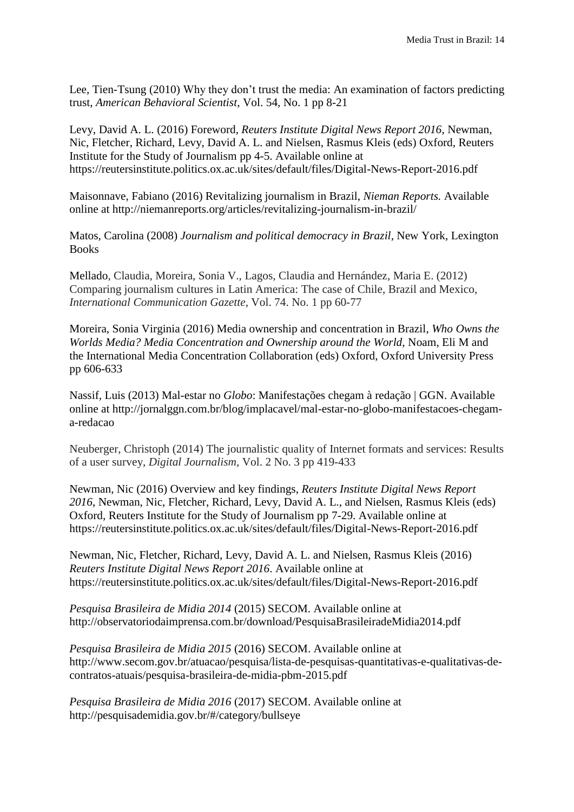Lee, Tien-Tsung (2010) Why they don't trust the media: An examination of factors predicting trust, *American Behavioral Scientist*, Vol. 54, No. 1 pp 8-21

Levy, David A. L. (2016) Foreword, *Reuters Institute Digital News Report 2016*, Newman, Nic, Fletcher, Richard, Levy, David A. L. and Nielsen, Rasmus Kleis (eds) Oxford, Reuters Institute for the Study of Journalism pp 4-5. Available online at https://reutersinstitute.politics.ox.ac.uk/sites/default/files/Digital-News-Report-2016.pdf

Maisonnave, Fabiano (2016) Revitalizing journalism in Brazil, *Nieman Reports.* Available online at <http://niemanreports.org/articles/revitalizing-journalism-in-brazil/>

Matos, Carolina (2008) *Journalism and political democracy in Brazil*, New York, Lexington **Books** 

Mellado, Claudia, Moreira, Sonia V., Lagos, Claudia and Hernández, Maria E. (2012) Comparing journalism cultures in Latin America: The case of Chile, Brazil and Mexico, *International Communication Gazette*, Vol. 74. No. 1 pp 60-77

Moreira, Sonia Virginia (2016) Media ownership and concentration in Brazil, *Who Owns the Worlds Media? Media Concentration and Ownership around the World*, Noam, Eli M and the International Media Concentration Collaboration (eds) Oxford, Oxford University Press pp 606-633

Nassif, Luis (2013) Mal-estar no *Globo*: Manifestações chegam à redação | GGN. Available online at [http://jornalggn.com.br/blog/implacavel/mal-estar-no-globo-manifestacoes-chegam](http://jornalggn.com.br/blog/implacavel/mal-estar-no-globo-manifestacoes-chegam-a-)[a-r](http://jornalggn.com.br/blog/implacavel/mal-estar-no-globo-manifestacoes-chegam-a-)edacao

Neuberger, Christoph (2014) The journalistic quality of Internet formats and services: Results of a user survey, *Digital Journalism*, Vol. 2 No. 3 pp 419-433

Newman, Nic (2016) Overview and key findings, *Reuters Institute Digital News Report 2016*, Newman, Nic, Fletcher, Richard, Levy, David A. L., and Nielsen, Rasmus Kleis (eds) Oxford, Reuters Institute for the Study of Journalism pp 7-29. Available online at [https://reutersinstitute.politics.ox.ac.uk/sites/default/files/Digital-News-R](https://reutersinstitute.politics.ox.ac.uk/sites/default/files/Digital-News-)eport-2016.pdf

Newman, Nic, Fletcher, Richard, Levy, David A. L. and Nielsen, Rasmus Kleis (2016) *Reuters Institute Digital News Report 2016*. Available online at https://reutersinstitute.politics.ox.ac.uk/sites/default/files/Digital-News-Report-2016.pdf

*Pesquisa Brasileira de Midia 2014* (2015) SECOM. Available online at http://observatoriodaimprensa.com.br/download/PesquisaBrasileiradeMidia2014.pdf

*Pesquisa Brasileira de Midia 2015* (2016) SECOM. Available online at [http://www.secom.gov.br/atuacao/pesquisa/lista-de-pesquisas-quantitativas-e-q](http://www.secom.gov.br/atuacao/pesquisa/lista-de-pesquisas-quantitativas-e-)ualitativas-decontratos-atuais/pesquisa-brasileira-de-midia-pbm-2015.pdf

*Pesquisa Brasileira de Midia 2016* (2017) SECOM. Available online at <http://pesquisademidia.gov.br/#/category/bullseye>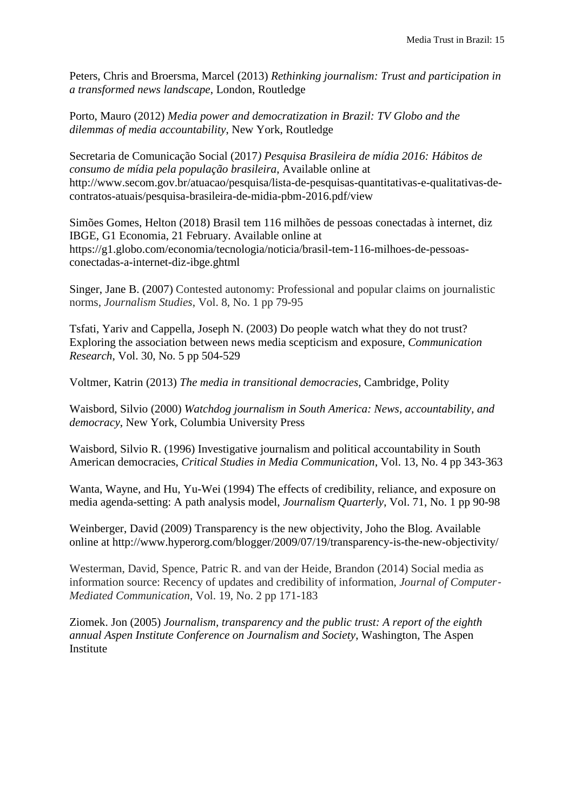Peters, Chris and Broersma, Marcel (2013) *Rethinking journalism: Trust and participation in a transformed news landscape*, London, Routledge

Porto, Mauro (2012) *Media power and democratization in Brazil: TV Globo and the dilemmas of media accountability*, New York, Routledge

Secretaria de Comunicação Social (2017*) Pesquisa Brasileira de mídia 2016: Hábitos de consumo de mídia pela população brasileira*, Available online at http://www.secom.gov.br/atuacao/pesquisa/lista-de-pesquisas-quantitativas-e-qualitativas-decontratos-atuais/pesquisa-brasileira-de-midia-pbm-2016.pdf/view

Simões Gomes, Helton (2018) Brasil tem 116 milhões de pessoas conectadas à internet, diz IBGE, G1 Economia, 21 February. Available online at https://g1.globo.com/economia/tecnologia/noticia/brasil-tem-116-milhoes-de-pessoasconectadas-a-internet-diz-ibge.ghtml

Singer, Jane B. (2007) Contested autonomy: Professional and popular claims on journalistic norms, *Journalism Studies*, Vol. 8, No. 1 pp 79-95

Tsfati, Yariv and Cappella, Joseph N. (2003) Do people watch what they do not trust? Exploring the association between news media scepticism and exposure, *Communication Research*, Vol. 30, No. 5 pp 504-529

Voltmer, Katrin (2013) *The media in transitional democracies*, Cambridge, Polity

Waisbord, Silvio (2000) *Watchdog journalism in South America: News, accountability, and democracy*, New York, Columbia University Press

Waisbord, Silvio R. (1996) Investigative journalism and political accountability in South American democracies, *Critical Studies in Media Communication*, Vol. 13, No. 4 pp 343-363

Wanta, Wayne, and Hu, Yu-Wei (1994) The effects of credibility, reliance, and exposure on media agenda-setting: A path analysis model, *Journalism Quarterly*, Vol. 71, No. 1 pp 90-98

Weinberger, David (2009) Transparency is the new objectivity, Joho the Blog. Available online at http://www.hyperorg.com/blogger/2009/07/19/transparency-is-the-new-objectivity/

Westerman, David, Spence, Patric R. and van der Heide, Brandon (2014) Social media as information source: Recency of updates and credibility of information, *Journal of Computer*‐ *Mediated Communication*, Vol. 19, No. 2 pp 171-183

Ziomek. Jon (2005) *Journalism, transparency and the public trust: A report of the eighth annual Aspen Institute Conference on Journalism and Society*, Washington, The Aspen Institute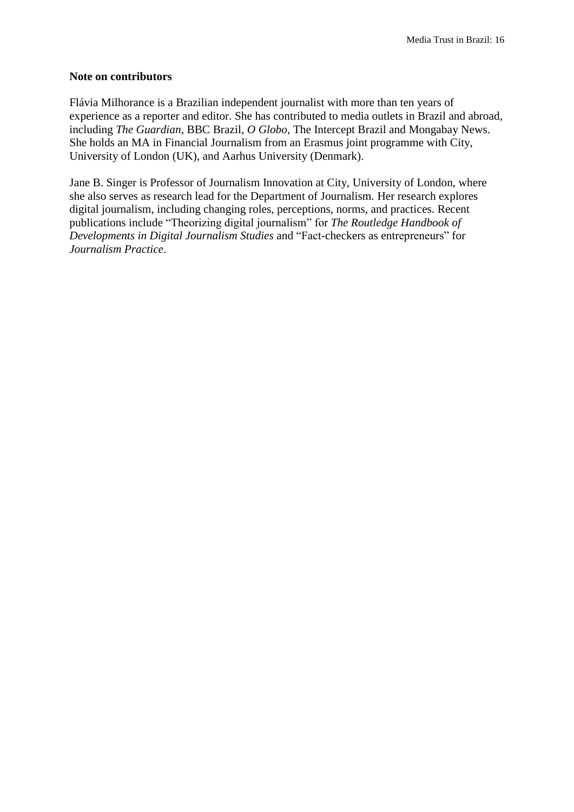#### **Note on contributors**

Flávia Milhorance is a Brazilian independent journalist with more than ten years of experience as a reporter and editor. She has contributed to media outlets in Brazil and abroad, including *The Guardian*, BBC Brazil, *O Globo*, The Intercept Brazil and Mongabay News. She holds an MA in Financial Journalism from an Erasmus joint programme with City, University of London (UK), and Aarhus University (Denmark).

Jane B. Singer is Professor of Journalism Innovation at City, University of London, where she also serves as research lead for the Department of Journalism. Her research explores digital journalism, including changing roles, perceptions, norms, and practices. Recent publications include "Theorizing digital journalism" for *The Routledge Handbook of Developments in Digital Journalism Studies* and "Fact-checkers as entrepreneurs" for *Journalism Practice*.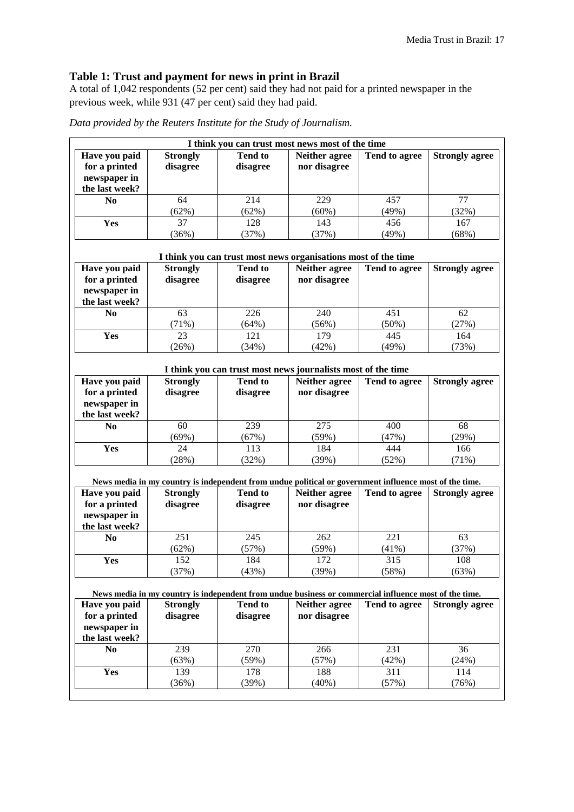# **Table 1: Trust and payment for news in print in Brazil**

A total of 1,042 respondents (52 per cent) said they had not paid for a printed newspaper in the previous week, while 931 (47 per cent) said they had paid.

| Data provided by the Reuters Institute for the Study of Journalism. |  |  |  |
|---------------------------------------------------------------------|--|--|--|
|---------------------------------------------------------------------|--|--|--|

|                                |                 | I think you can trust most news most of the time |                                                                                                        |               |                                                       |
|--------------------------------|-----------------|--------------------------------------------------|--------------------------------------------------------------------------------------------------------|---------------|-------------------------------------------------------|
| Have you paid                  | <b>Strongly</b> | <b>Tend to</b>                                   | Neither agree                                                                                          | Tend to agree | <b>Strongly agree</b>                                 |
| for a printed                  | disagree        | disagree                                         | nor disagree                                                                                           |               |                                                       |
| newspaper in                   |                 |                                                  |                                                                                                        |               |                                                       |
| the last week?                 |                 |                                                  |                                                                                                        |               |                                                       |
| N <sub>0</sub>                 | 64              | 214                                              | 229                                                                                                    | 457           | 77                                                    |
|                                | (62%)           | (62%)                                            | $(60\%)$                                                                                               | (49%)         | (32%)                                                 |
| Yes                            | 37              | 128                                              | 143                                                                                                    | 456           | 167                                                   |
|                                | (36%)           | (37%)                                            | (37%)                                                                                                  | (49%)         | (68%)                                                 |
|                                |                 |                                                  |                                                                                                        |               |                                                       |
|                                |                 |                                                  | I think you can trust most news organisations most of the time                                         |               |                                                       |
| Have you paid                  | <b>Strongly</b> | <b>Tend to</b>                                   | <b>Neither agree</b>                                                                                   | Tend to agree | <b>Strongly agree</b>                                 |
| for a printed                  | disagree        | disagree                                         | nor disagree                                                                                           |               |                                                       |
| newspaper in                   |                 |                                                  |                                                                                                        |               |                                                       |
| the last week?                 |                 |                                                  |                                                                                                        |               |                                                       |
| N <sub>0</sub>                 | 63              | 226                                              | 240                                                                                                    | 451           | 62                                                    |
|                                | (71%)           | (64%)                                            | (56%)                                                                                                  | (50%)         | (27%)                                                 |
| Yes                            | 23              | 121                                              | 179                                                                                                    | 445           | 164                                                   |
|                                | (26%)           | (34%)                                            | (42%)                                                                                                  | (49%)         | (73%)                                                 |
|                                |                 |                                                  |                                                                                                        |               |                                                       |
|                                |                 |                                                  | I think you can trust most news journalists most of the time                                           |               |                                                       |
| Have you paid                  | <b>Strongly</b> | <b>Tend to</b>                                   | Neither agree                                                                                          | Tend to agree | <b>Strongly agree</b>                                 |
| for a printed                  |                 |                                                  |                                                                                                        |               |                                                       |
|                                | disagree        | disagree                                         | nor disagree                                                                                           |               |                                                       |
| newspaper in<br>the last week? |                 |                                                  |                                                                                                        |               |                                                       |
|                                |                 |                                                  |                                                                                                        |               |                                                       |
|                                |                 |                                                  |                                                                                                        |               |                                                       |
| N <sub>0</sub>                 | 60              | 239                                              | 275                                                                                                    | 400           | 68                                                    |
|                                | (69%)           | (67%)                                            | (59%)                                                                                                  | (47%)         | (29%)                                                 |
| Yes                            | 24              | 113                                              | 184                                                                                                    | 444           | 166                                                   |
|                                | (28%)           | (32%)                                            | (39%)                                                                                                  | (52%)         | (71%)                                                 |
|                                |                 |                                                  |                                                                                                        |               |                                                       |
|                                |                 |                                                  | News media in my country is independent from undue political or government influence most of the time. |               |                                                       |
| Have you paid                  | <b>Strongly</b> | <b>Tend to</b>                                   | Neither agree                                                                                          | Tend to agree |                                                       |
| for a printed                  | disagree        | disagree                                         | nor disagree                                                                                           |               |                                                       |
| newspaper in                   |                 |                                                  |                                                                                                        |               |                                                       |
| the last week?                 |                 |                                                  |                                                                                                        |               |                                                       |
| N <sub>0</sub>                 | 251             | 245                                              | 262                                                                                                    | 221           | 63                                                    |
|                                | (62%)           | (57%)                                            | (59%)                                                                                                  | (41%)         | (37%)                                                 |
| Yes                            | 152             | 184                                              | 172                                                                                                    | 315           | 108                                                   |
|                                | (37%)           | (43%)                                            | (39%)                                                                                                  | (58%)         | (63%)                                                 |
|                                |                 |                                                  |                                                                                                        |               |                                                       |
|                                |                 |                                                  | News media in my country is independent from undue business or commercial influence most of the time.  |               |                                                       |
| Have you paid                  | <b>Strongly</b> | <b>Tend to</b>                                   | Neither agree                                                                                          | Tend to agree |                                                       |
| for a printed                  | disagree        | disagree                                         | nor disagree                                                                                           |               |                                                       |
| newspaper in                   |                 |                                                  |                                                                                                        |               |                                                       |
| the last week?                 |                 |                                                  |                                                                                                        |               |                                                       |
| N <sub>0</sub>                 | 239             | 270                                              | 266                                                                                                    | 231           | 36                                                    |
|                                | (63%)           | (59%)                                            | (57%)                                                                                                  | (42%)         | (24%)                                                 |
| Yes                            | 139             | 178                                              | 188                                                                                                    | 311           | <b>Strongly agree</b><br><b>Strongly agree</b><br>114 |